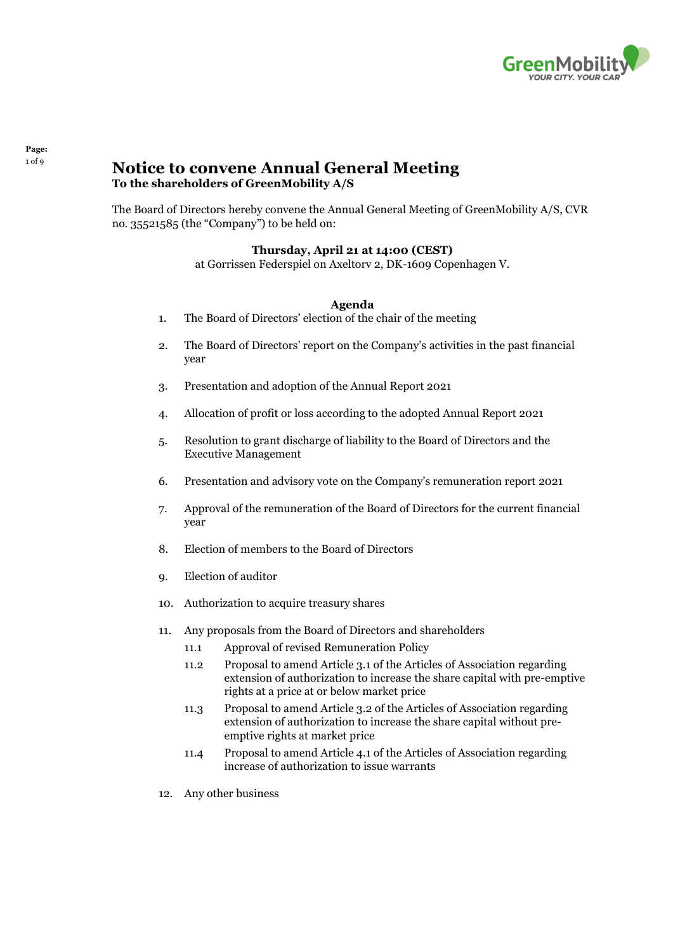

# **10f9 Notice to convene Annual General Meeting To the shareholders of GreenMobility A/S**

The Board of Directors hereby convene the Annual General Meeting of GreenMobility A/S, CVR no. 35521585 (the "Company") to be held on:

# **Thursday, April 21 at 14:00 (CEST)**

at Gorrissen Federspiel on Axeltorv 2, DK-1609 Copenhagen V.

#### **Agenda**

- <span id="page-0-0"></span>1. The Board of Directors' election of the chair of the meeting
- <span id="page-0-1"></span>2. The Board of Directors' report on the Company's activities in the past financial year
- <span id="page-0-2"></span>3. Presentation and adoption of the Annual Report 2021
- <span id="page-0-3"></span>4. Allocation of profit or loss according to the adopted Annual Report 2021
- <span id="page-0-4"></span>5. Resolution to grant discharge of liability to the Board of Directors and the Executive Management
- <span id="page-0-5"></span>6. Presentation and advisory vote on the Company's remuneration report 2021
- <span id="page-0-6"></span>7. Approval of the remuneration of the Board of Directors for the current financial year
- <span id="page-0-7"></span>8. Election of members to the Board of Directors
- <span id="page-0-8"></span>9. Election of auditor
- <span id="page-0-9"></span>10. Authorization to acquire treasury shares
- <span id="page-0-10"></span>11. Any proposals from the Board of Directors and shareholders
	- 11.1 Approval of revised Remuneration Policy
	- 11.2 Proposal to amend Article 3.1 of the Articles of Association regarding extension of authorization to increase the share capital with pre-emptive rights at a price at or below market price
	- 11.3 Proposal to amend Article 3.2 of the Articles of Association regarding extension of authorization to increase the share capital without preemptive rights at market price
	- 11.4 Proposal to amend Article 4.1 of the Articles of Association regarding increase of authorization to issue warrants
- <span id="page-0-11"></span>12. Any other business

# **Page:**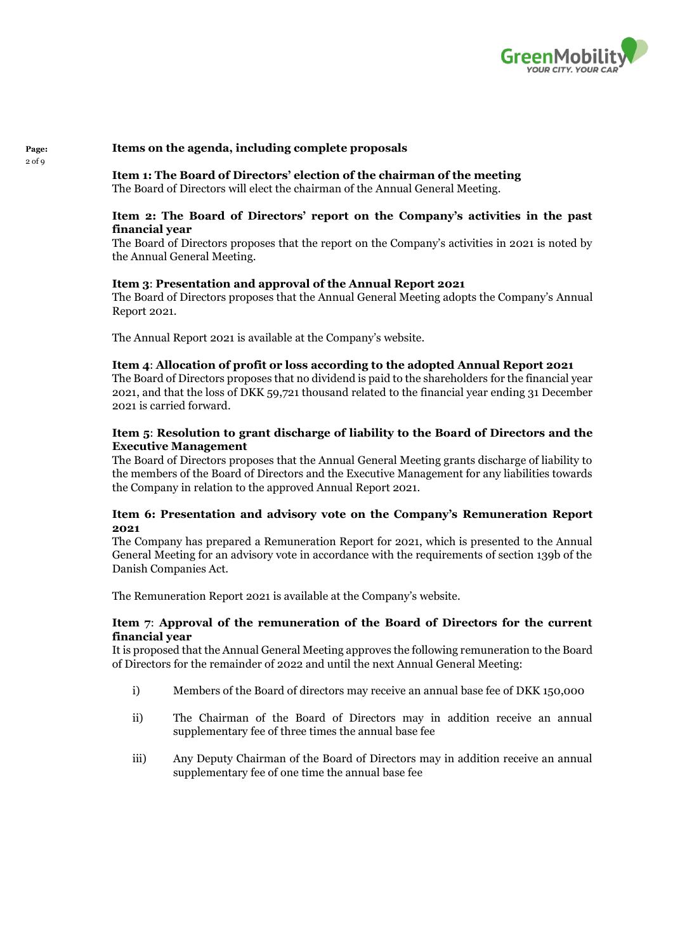

### **Items on the agenda, including complete proposals**

**Page:**  $2$  of  $9$ 

**Item [1:](#page-0-0) The Board of Directors' election of the chairman of the meeting**

The Board of Directors will elect the chairman of the Annual General Meeting.

# **Item [2:](#page-0-1) The Board of Directors' report on the Company's activities in the past financial year**

The Board of Directors proposes that the report on the Company's activities in 2021 is noted by the Annual General Meeting.

#### **Item [3](#page-0-2)**: **Presentation and approval of the Annual Report 2021**

The Board of Directors proposes that the Annual General Meeting adopts the Company's Annual Report 2021.

The Annual Report 2021 is available at the Company's website.

#### **Item [4](#page-0-3)**: **Allocation of profit or loss according to the adopted Annual Report 2021**

The Board of Directors proposes that no dividend is paid to the shareholders for the financial year 2021, and that the loss of DKK 59,721 thousand related to the financial year ending 31 December 2021 is carried forward.

# **Item [5](#page-0-4)**: **Resolution to grant discharge of liability to the Board of Directors and the Executive Management**

The Board of Directors proposes that the Annual General Meeting grants discharge of liability to the members of the Board of Directors and the Executive Management for any liabilities towards the Company in relation to the approved Annual Report 2021.

# **Item [6](#page-0-5): Presentation and advisory vote on the Company's Remuneration Report 2021**

The Company has prepared a Remuneration Report for 2021, which is presented to the Annual General Meeting for an advisory vote in accordance with the requirements of section 139b of the Danish Companies Act.

The Remuneration Report 2021 is available at the Company's website.

# **Item [7](#page-0-6)**: **Approval of the remuneration of the Board of Directors for the current financial year**

It is proposed that the Annual General Meeting approves the following remuneration to the Board of Directors for the remainder of 2022 and until the next Annual General Meeting:

- i) Members of the Board of directors may receive an annual base fee of DKK 150,000
- ii) The Chairman of the Board of Directors may in addition receive an annual supplementary fee of three times the annual base fee
- iii) Any Deputy Chairman of the Board of Directors may in addition receive an annual supplementary fee of one time the annual base fee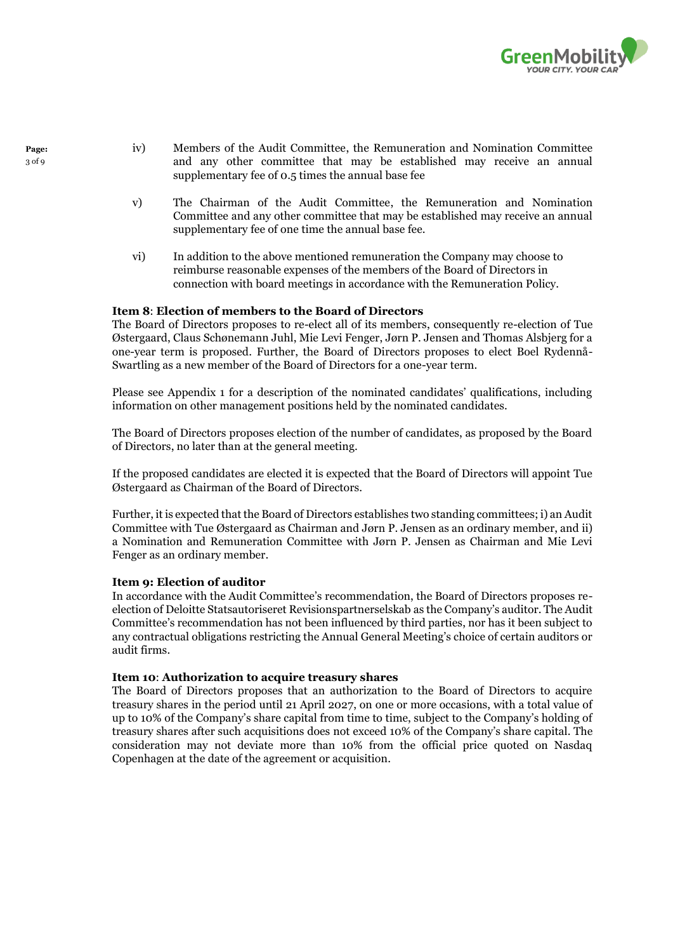

- iv) Members of the Audit Committee, the Remuneration and Nomination Committee and any other committee that may be established may receive an annual supplementary fee of 0.5 times the annual base fee
- v) The Chairman of the Audit Committee, the Remuneration and Nomination Committee and any other committee that may be established may receive an annual supplementary fee of one time the annual base fee.
- vi) In addition to the above mentioned remuneration the Company may choose to reimburse reasonable expenses of the members of the Board of Directors in connection with board meetings in accordance with the Remuneration Policy.

#### **Item [8](#page-0-7)**: **Election of members to the Board of Directors**

The Board of Directors proposes to re-elect all of its members, consequently re-election of Tue Østergaard, Claus Schønemann Juhl, Mie Levi Fenger, Jørn P. Jensen and Thomas Alsbjerg for a one-year term is proposed. Further, the Board of Directors proposes to elect Boel Rydennå-Swartling as a new member of the Board of Directors for a one-year term.

Please see Appendix 1 for a description of the nominated candidates' qualifications, including information on other management positions held by the nominated candidates.

The Board of Directors proposes election of the number of candidates, as proposed by the Board of Directors, no later than at the general meeting.

If the proposed candidates are elected it is expected that the Board of Directors will appoint Tue Østergaard as Chairman of the Board of Directors.

Further, it is expected that the Board of Directors establishes two standing committees; i) an Audit Committee with Tue Østergaard as Chairman and Jørn P. Jensen as an ordinary member, and ii) a Nomination and Remuneration Committee with Jørn P. Jensen as Chairman and Mie Levi Fenger as an ordinary member.

# **Item [9:](#page-0-8) Election of auditor**

In accordance with the Audit Committee's recommendation, the Board of Directors proposes reelection of Deloitte Statsautoriseret Revisionspartnerselskab as the Company's auditor. The Audit Committee's recommendation has not been influenced by third parties, nor has it been subject to any contractual obligations restricting the Annual General Meeting's choice of certain auditors or audit firms.

#### **Item [10](#page-0-9)**: **Authorization to acquire treasury shares**

The Board of Directors proposes that an authorization to the Board of Directors to acquire treasury shares in the period until 21 April 2027, on one or more occasions, with a total value of up to 10% of the Company's share capital from time to time, subject to the Company's holding of treasury shares after such acquisitions does not exceed 10% of the Company's share capital. The consideration may not deviate more than 10% from the official price quoted on Nasdaq Copenhagen at the date of the agreement or acquisition.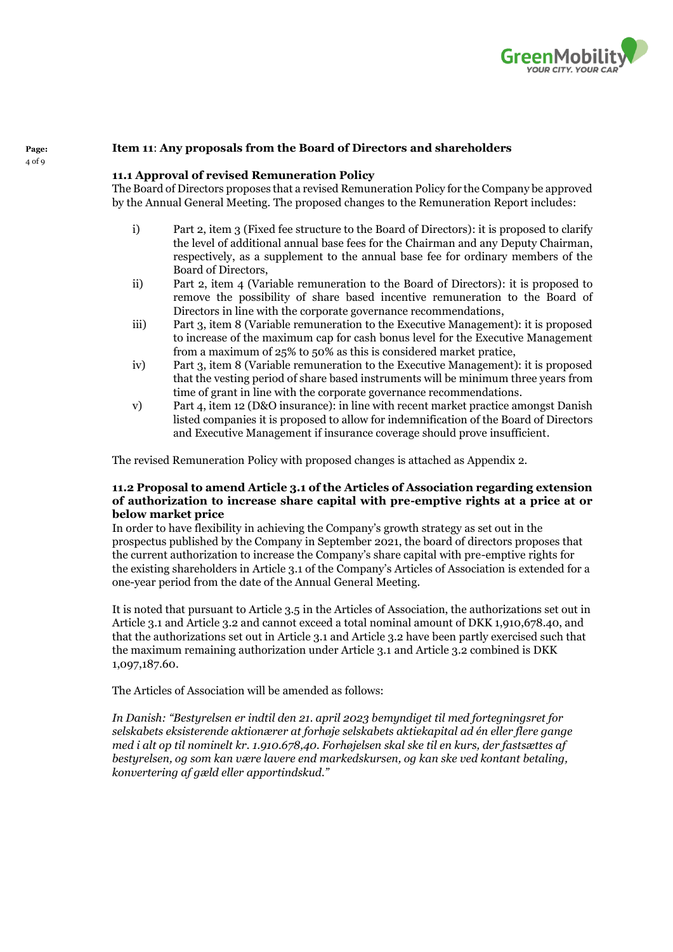

### **Item [11](#page-0-10)**: **Any proposals from the Board of Directors and shareholders**

### **11.1 Approval of revised Remuneration Policy**

The Board of Directors proposes that a revised Remuneration Policy for the Company be approved by the Annual General Meeting. The proposed changes to the Remuneration Report includes:

- i) Part 2, item 3 (Fixed fee structure to the Board of Directors): it is proposed to clarify the level of additional annual base fees for the Chairman and any Deputy Chairman, respectively, as a supplement to the annual base fee for ordinary members of the Board of Directors,
- ii) Part 2, item 4 (Variable remuneration to the Board of Directors): it is proposed to remove the possibility of share based incentive remuneration to the Board of Directors in line with the corporate governance recommendations,
- iii) Part 3, item 8 (Variable remuneration to the Executive Management): it is proposed to increase of the maximum cap for cash bonus level for the Executive Management from a maximum of 25% to 50% as this is considered market pratice,
- iv) Part 3, item 8 (Variable remuneration to the Executive Management): it is proposed that the vesting period of share based instruments will be minimum three years from time of grant in line with the corporate governance recommendations.
- v) Part 4, item 12 (D&O insurance): in line with recent market practice amongst Danish listed companies it is proposed to allow for indemnification of the Board of Directors and Executive Management if insurance coverage should prove insufficient.

The revised Remuneration Policy with proposed changes is attached as Appendix 2.

# **11.2 Proposal to amend Article 3.1 of the Articles of Association regarding extension of authorization to increase share capital with pre-emptive rights at a price at or below market price**

In order to have flexibility in achieving the Company's growth strategy as set out in the prospectus published by the Company in September 2021, the board of directors proposes that the current authorization to increase the Company's share capital with pre-emptive rights for the existing shareholders in Article 3.1 of the Company's Articles of Association is extended for a one-year period from the date of the Annual General Meeting.

It is noted that pursuant to Article 3.5 in the Articles of Association, the authorizations set out in Article 3.1 and Article 3.2 and cannot exceed a total nominal amount of DKK 1,910,678.40, and that the authorizations set out in Article 3.1 and Article 3.2 have been partly exercised such that the maximum remaining authorization under Article 3.1 and Article 3.2 combined is DKK 1,097,187.60.

The Articles of Association will be amended as follows:

*In Danish: "Bestyrelsen er indtil den 21. april 2023 bemyndiget til med fortegningsret for selskabets eksisterende aktionærer at forhøje selskabets aktiekapital ad én eller flere gange med i alt op til nominelt kr. 1.910.678,40. Forhøjelsen skal ske til en kurs, der fastsættes af bestyrelsen, og som kan være lavere end markedskursen, og kan ske ved kontant betaling, konvertering af gæld eller apportindskud."*

**Page:** 4 of 9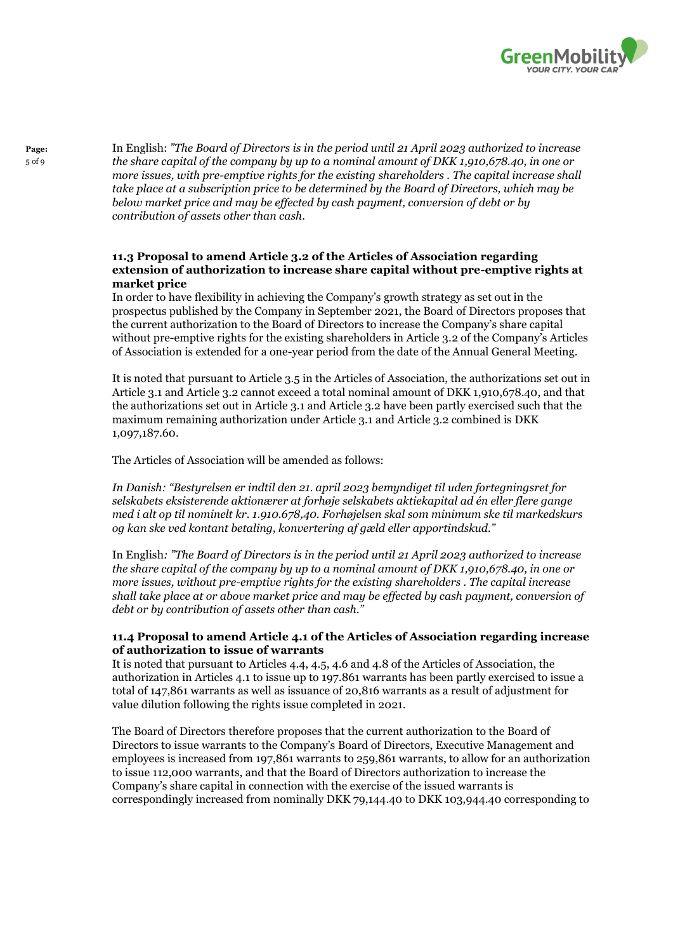

In English: *"The Board of Directors is in the period until 21 April 2023 authorized to increase the share capital of the company by up to a nominal amount of DKK 1,910,678.40, in one or more issues, with pre-emptive rights for the existing shareholders . The capital increase shall take place at a subscription price to be determined by the Board of Directors, which may be below market price and may be effected by cash payment, conversion of debt or by contribution of assets other than cash.*

# **11.3 Proposal to amend Article 3.2 of the Articles of Association regarding extension of authorization to increase share capital without pre-emptive rights at market price**

In order to have flexibility in achieving the Company's growth strategy as set out in the prospectus published by the Company in September 2021, the Board of Directors proposes that the current authorization to the Board of Directors to increase the Company's share capital without pre-emptive rights for the existing shareholders in Article 3.2 of the Company's Articles of Association is extended for a one-year period from the date of the Annual General Meeting.

It is noted that pursuant to Article 3.5 in the Articles of Association, the authorizations set out in Article 3.1 and Article 3.2 cannot exceed a total nominal amount of DKK 1,910,678.40, and that the authorizations set out in Article 3.1 and Article 3.2 have been partly exercised such that the maximum remaining authorization under Article 3.1 and Article 3.2 combined is DKK 1,097,187.60.

The Articles of Association will be amended as follows:

*In Danish: "Bestyrelsen er indtil den 21. april 2023 bemyndiget til uden fortegningsret for selskabets eksisterende aktionærer at forhøje selskabets aktiekapital ad én eller flere gange med i alt op til nominelt kr. 1.910.678,40. Forhøjelsen skal som minimum ske til markedskurs og kan ske ved kontant betaling, konvertering af gæld eller apportindskud."*

In English*: "The Board of Directors is in the period until 21 April 2023 authorized to increase the share capital of the company by up to a nominal amount of DKK 1,910,678.40, in one or more issues, without pre-emptive rights for the existing shareholders . The capital increase shall take place at or above market price and may be effected by cash payment, conversion of debt or by contribution of assets other than cash."* 

# **11.4 Proposal to amend Article 4.1 of the Articles of Association regarding increase of authorization to issue of warrants**

It is noted that pursuant to Articles 4.4, 4.5, 4.6 and 4.8 of the Articles of Association, the authorization in Articles 4.1 to issue up to 197.861 warrants has been partly exercised to issue a total of 147,861 warrants as well as issuance of 20,816 warrants as a result of adjustment for value dilution following the rights issue completed in 2021.

The Board of Directors therefore proposes that the current authorization to the Board of Directors to issue warrants to the Company's Board of Directors, Executive Management and employees is increased from 197,861 warrants to 259,861 warrants, to allow for an authorization to issue 112,000 warrants, and that the Board of Directors authorization to increase the Company's share capital in connection with the exercise of the issued warrants is correspondingly increased from nominally DKK 79,144.40 to DKK 103,944.40 corresponding to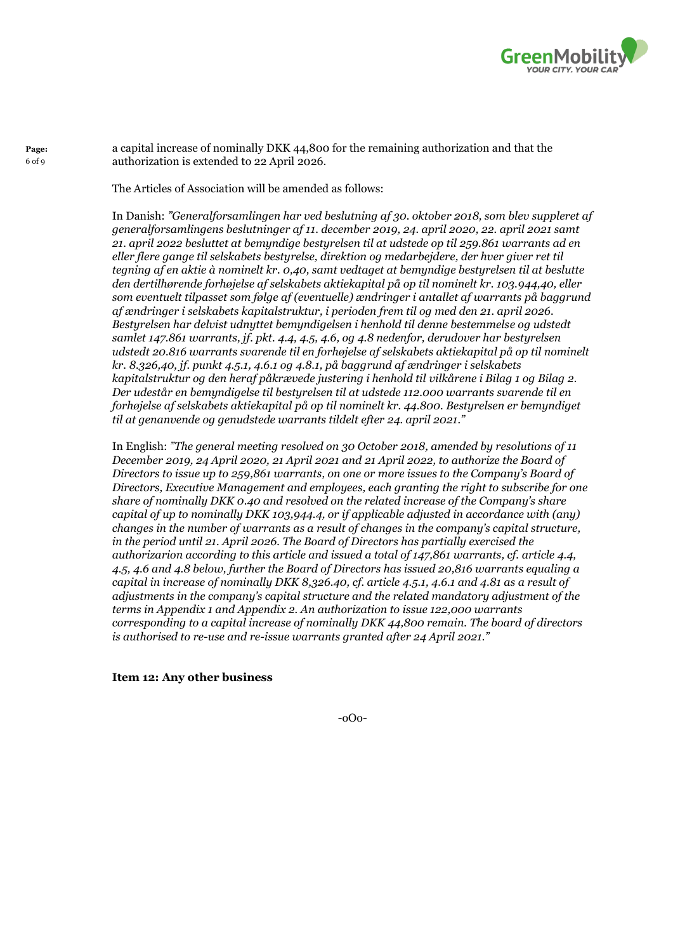

a capital increase of nominally DKK 44,800 for the remaining authorization and that the authorization is extended to 22 April 2026.

The Articles of Association will be amended as follows:

**Page:** 6 of 9

> In Danish: *"Generalforsamlingen har ved beslutning af 30. oktober 2018, som blev suppleret af generalforsamlingens beslutninger af 11. december 2019, 24. april 2020, 22. april 2021 samt 21. april 2022 besluttet at bemyndige bestyrelsen til at udstede op til 259.861 warrants ad en eller flere gange til selskabets bestyrelse, direktion og medarbejdere, der hver giver ret til tegning af en aktie à nominelt kr. 0,40, samt vedtaget at bemyndige bestyrelsen til at beslutte den dertilhørende forhøjelse af selskabets aktiekapital på op til nominelt kr. 103.944,40, eller som eventuelt tilpasset som følge af (eventuelle) ændringer i antallet af warrants på baggrund af ændringer i selskabets kapitalstruktur, i perioden frem til og med den 21. april 2026. Bestyrelsen har delvist udnyttet bemyndigelsen i henhold til denne bestemmelse og udstedt samlet 147.861 warrants, jf. pkt. 4.4, 4.5, 4.6, og 4.8 nedenfor, derudover har bestyrelsen udstedt 20.816 warrants svarende til en forhøjelse af selskabets aktiekapital på op til nominelt kr. 8.326,40, jf. punkt 4.5.1, 4.6.1 og 4.8.1, på baggrund af ændringer i selskabets kapitalstruktur og den heraf påkrævede justering i henhold til vilkårene i Bilag 1 og Bilag 2. Der udestår en bemyndigelse til bestyrelsen til at udstede 112.000 warrants svarende til en forhøjelse af selskabets aktiekapital på op til nominelt kr. 44.800. Bestyrelsen er bemyndiget til at genanvende og genudstede warrants tildelt efter 24. april 2021."*

In English: *"The general meeting resolved on 30 October 2018, amended by resolutions of 11 December 2019, 24 April 2020, 21 April 2021 and 21 April 2022, to authorize the Board of Directors to issue up to 259,861 warrants, on one or more issues to the Company's Board of Directors, Executive Management and employees, each granting the right to subscribe for one share of nominally DKK 0.40 and resolved on the related increase of the Company's share capital of up to nominally DKK 103,944.4, or if applicable adjusted in accordance with (any) changes in the number of warrants as a result of changes in the company's capital structure, in the period until 21. April 2026. The Board of Directors has partially exercised the authorizarion according to this article and issued a total of 147,861 warrants, cf. article 4.4, 4.5, 4.6 and 4.8 below, further the Board of Directors has issued 20,816 warrants equaling a capital in increase of nominally DKK 8,326.40, cf. article 4.5.1, 4.6.1 and 4.81 as a result of adjustments in the company's capital structure and the related mandatory adjustment of the terms in Appendix 1 and Appendix 2. An authorization to issue 122,000 warrants corresponding to a capital increase of nominally DKK 44,800 remain. The board of directors is authorised to re-use and re-issue warrants granted after 24 April 2021."*

**Item [12:](#page-0-11) Any other business**

-oOo-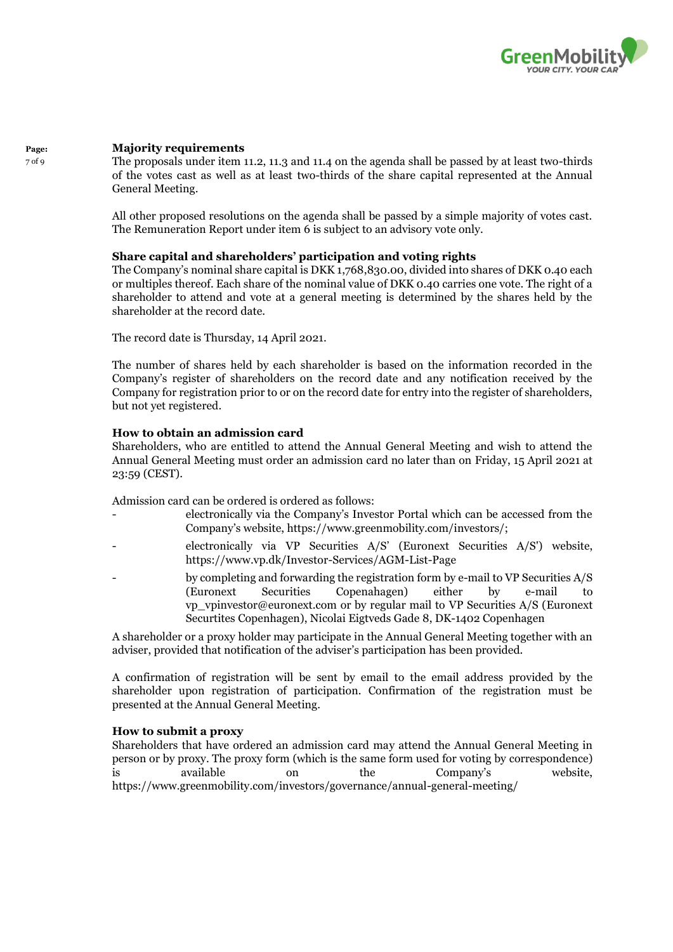

#### **Page: Majority requirements**

7 of 9

The proposals under item 11.2, 11.3 and 11.4 on the agenda shall be passed by at least two-thirds of the votes cast as well as at least two-thirds of the share capital represented at the Annual General Meeting.

All other proposed resolutions on the agenda shall be passed by a simple majority of votes cast. The Remuneration Report under item 6 is subject to an advisory vote only.

# **Share capital and shareholders' participation and voting rights**

The Company's nominal share capital is DKK 1,768,830.00, divided into shares of DKK 0.40 each or multiples thereof. Each share of the nominal value of DKK 0.40 carries one vote. The right of a shareholder to attend and vote at a general meeting is determined by the shares held by the shareholder at the record date.

The record date is Thursday, 14 April 2021.

The number of shares held by each shareholder is based on the information recorded in the Company's register of shareholders on the record date and any notification received by the Company for registration prior to or on the record date for entry into the register of shareholders, but not yet registered.

# **How to obtain an admission card**

Shareholders, who are entitled to attend the Annual General Meeting and wish to attend the Annual General Meeting must order an admission card no later than on Friday, 15 April 2021 at 23:59 (CEST).

Admission card can be ordered is ordered as follows:

- electronically via the Company's Investor Portal which can be accessed from the Company's website, https://www.greenmobility.com/investors/;
- electronically via VP Securities A/S' (Euronext Securities A/S') website, https://www.vp.dk/Investor-Services/AGM-List-Page
- by completing and forwarding the registration form by e-mail to VP Securities A/S (Euronext Securities Copenahagen) either by e-mail to vp\_vpinvestor@euronext.com or by regular mail to VP Securities A/S (Euronext Securtites Copenhagen), Nicolai Eigtveds Gade 8, DK-1402 Copenhagen

A shareholder or a proxy holder may participate in the Annual General Meeting together with an adviser, provided that notification of the adviser's participation has been provided.

A confirmation of registration will be sent by email to the email address provided by the shareholder upon registration of participation. Confirmation of the registration must be presented at the Annual General Meeting.

# **How to submit a proxy**

Shareholders that have ordered an admission card may attend the Annual General Meeting in person or by proxy. The proxy form (which is the same form used for voting by correspondence) is available on the Company's website, https://www.greenmobility.com/investors/governance/annual-general-meeting/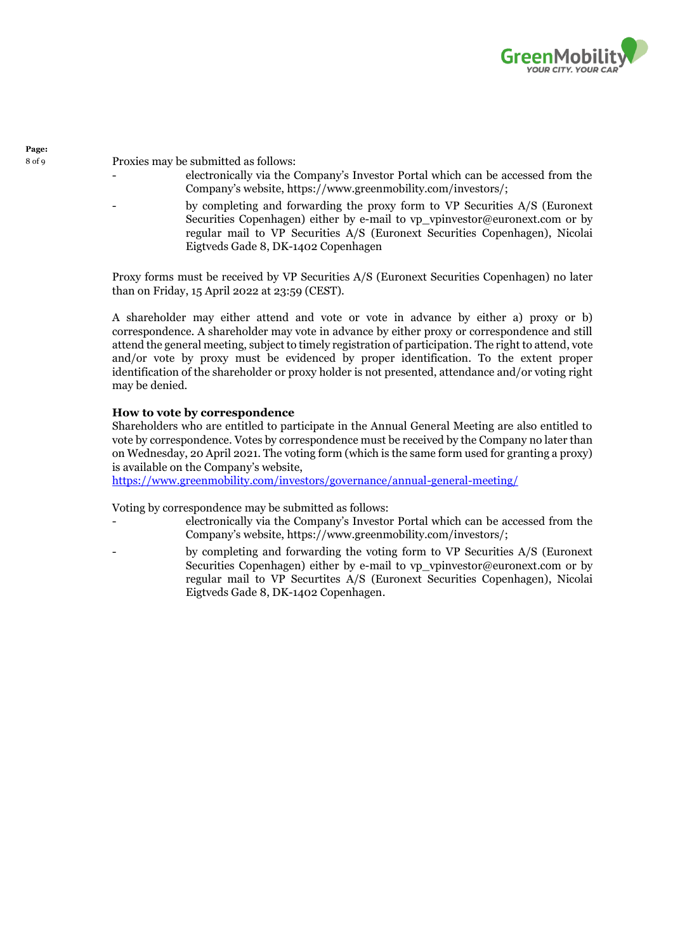

<sup>8</sup> of <sup>9</sup> Proxies may be submitted as follows:

- electronically via the Company's Investor Portal which can be accessed from the Company's website, https://www.greenmobility.com/investors/;
- by completing and forwarding the proxy form to VP Securities A/S (Euronext Securities Copenhagen) either by e-mail to vp\_vpinvestor@euronext.com or by regular mail to VP Securities A/S (Euronext Securities Copenhagen), Nicolai Eigtveds Gade 8, DK-1402 Copenhagen

Proxy forms must be received by VP Securities A/S (Euronext Securities Copenhagen) no later than on Friday, 15 April 2022 at 23:59 (CEST).

A shareholder may either attend and vote or vote in advance by either a) proxy or b) correspondence. A shareholder may vote in advance by either proxy or correspondence and still attend the general meeting, subject to timely registration of participation. The right to attend, vote and/or vote by proxy must be evidenced by proper identification. To the extent proper identification of the shareholder or proxy holder is not presented, attendance and/or voting right may be denied.

# **How to vote by correspondence**

Shareholders who are entitled to participate in the Annual General Meeting are also entitled to vote by correspondence. Votes by correspondence must be received by the Company no later than on Wednesday, 20 April 2021. The voting form (which is the same form used for granting a proxy) is available on the Company's website,

<https://www.greenmobility.com/investors/governance/annual-general-meeting/>

Voting by correspondence may be submitted as follows:

- electronically via the Company's Investor Portal which can be accessed from the Company's website, https://www.greenmobility.com/investors/;
- by completing and forwarding the voting form to VP Securities A/S (Euronext Securities Copenhagen) either by e-mail to vp\_vpinvestor@euronext.com or by regular mail to VP Securtites A/S (Euronext Securities Copenhagen), Nicolai Eigtveds Gade 8, DK-1402 Copenhagen.

**Page:**